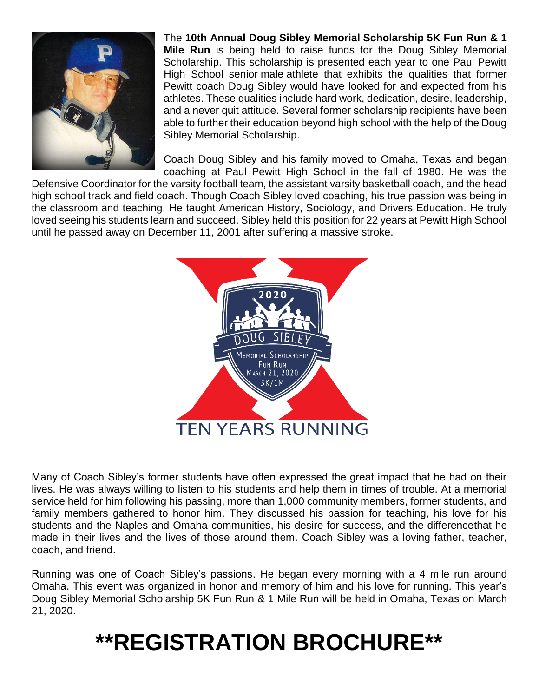

The **10th Annual Doug Sibley Memorial Scholarship 5K Fun Run & 1 Mile Run** is being held to raise funds for the Doug Sibley Memorial Scholarship. This scholarship is presented each year to one Paul Pewitt High School senior male athlete that exhibits the qualities that former Pewitt coach Doug Sibley would have looked for and expected from his athletes. These qualities include hard work, dedication, desire, leadership, and a never quit attitude. Several former scholarship recipients have been able to further their education beyond high school with the help of the Doug Sibley Memorial Scholarship.

Coach Doug Sibley and his family moved to Omaha, Texas and began coaching at Paul Pewitt High School in the fall of 1980. He was the

Defensive Coordinator for the varsity football team, the assistant varsity basketball coach, and the head high school track and field coach. Though Coach Sibley loved coaching, his true passion was being in the classroom and teaching. He taught American History, Sociology, and Drivers Education. He truly loved seeing his students learn and succeed. Sibley held this position for 22 years at Pewitt High School until he passed away on December 11, 2001 after suffering a massive stroke.



Many of Coach Sibley's former students have often expressed the great impact that he had on their lives. He was always willing to listen to his students and help them in times of trouble. At a memorial service held for him following his passing, more than 1,000 community members, former students, and family members gathered to honor him. They discussed his passion for teaching, his love for his students and the Naples and Omaha communities, his desire for success, and the differencethat he made in their lives and the lives of those around them. Coach Sibley was a loving father, teacher, coach, and friend.

Running was one of Coach Sibley's passions. He began every morning with a 4 mile run around Omaha. This event was organized in honor and memory of him and his love for running. This year's Doug Sibley Memorial Scholarship 5K Fun Run & 1 Mile Run will be held in Omaha, Texas on March 21, 2020.

# **\*\*REGISTRATION BROCHURE\*\***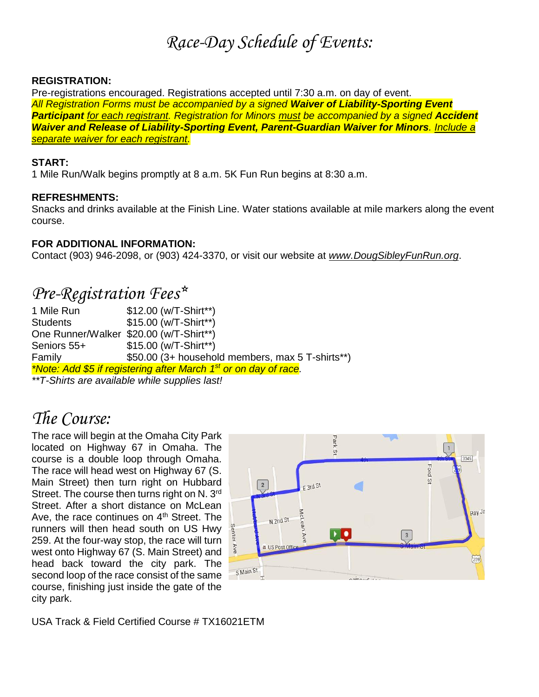## *Race-Day Schedule of Events:*

#### **REGISTRATION:**

Pre-registrations encouraged. Registrations accepted until 7:30 a.m. on day of event. *All Registration Forms must be accompanied by a signed Waiver of Liability-Sporting Event Participant for each registrant. Registration for Minors must be accompanied by a signed Accident Waiver and Release of Liability-Sporting Event, Parent-Guardian Waiver for Minors. Include a separate waiver for each registrant.*

#### **START:**

1 Mile Run/Walk begins promptly at 8 a.m. 5K Fun Run begins at 8:30 a.m.

#### **REFRESHMENTS:**

Snacks and drinks available at the Finish Line. Water stations available at mile markers along the event course.

#### **FOR ADDITIONAL INFORMATION:**

Contact (903) 946-2098, or (903) 424-3370, or visit our website at *www.DougSibleyFunRun.org*.

### *Pre-Registration Fees\**

1 Mile Run \$12.00 (w/T-Shirt\*\*) Students \$15.00 (w/T-Shirt\*\*) One Runner/Walker \$20.00 (w/T-Shirt\*\*) Seniors 55+  $$15.00$  (w/T-Shirt\*\*) Family \$50.00 (3+ household members, max 5 T-shirts\*\*) *\*Note: Add \$5 if registering after March 1 st or on day of race.* 

*\*\*T-Shirts are available while supplies last!* 

## *The Course:*

The race will begin at the Omaha City Park located on Highway 67 in Omaha. The course is a double loop through Omaha. The race will head west on Highway 67 (S. Main Street) then turn right on Hubbard Street. The course then turns right on N. 3rd Street. After a short distance on McLean Ave, the race continues on 4<sup>th</sup> Street. The runners will then head south on US Hwy 259. At the four-way stop, the race will turn west onto Highway 67 (S. Main Street) and head back toward the city park. The second loop of the race consist of the same course, finishing just inside the gate of the city park.



USA Track & Field Certified Course # TX16021ETM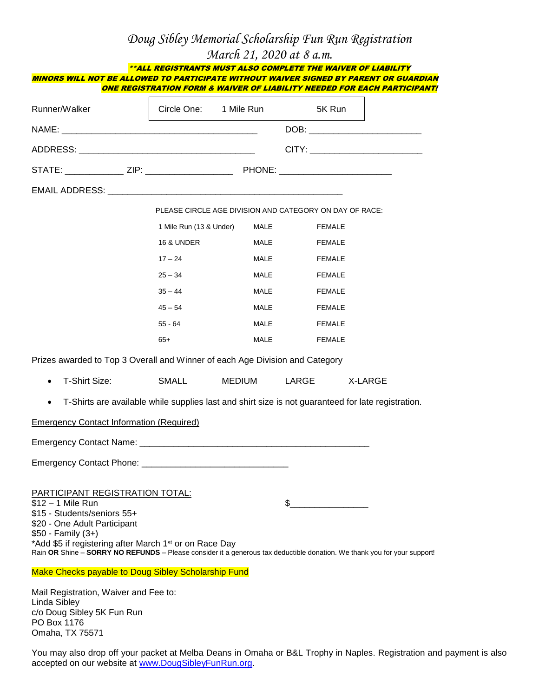#### *Doug Sibley Memorial Scholarship Fun Run Registration March 21, 2020 at 8 a.m.*

| MINORS WILL NOT BE ALLOWED TO PARTICIPATE WITHOUT WAIVER SIGNED BY PARENT OR GUARDIAN                                                                                                                                                                                               | **ALL REGISTRANTS MUST ALSO COMPLETE THE WAIVER OF LIABILITY             |             |                               |  |
|-------------------------------------------------------------------------------------------------------------------------------------------------------------------------------------------------------------------------------------------------------------------------------------|--------------------------------------------------------------------------|-------------|-------------------------------|--|
|                                                                                                                                                                                                                                                                                     | ONE REGISTRATION FORM & WAIVER OF LIABILITY NEEDED FOR EACH PARTICIPANT! |             |                               |  |
| Runner/Walker                                                                                                                                                                                                                                                                       |                                                                          |             | Circle One: 1 Mile Run 5K Run |  |
|                                                                                                                                                                                                                                                                                     |                                                                          |             |                               |  |
|                                                                                                                                                                                                                                                                                     |                                                                          |             |                               |  |
|                                                                                                                                                                                                                                                                                     |                                                                          |             |                               |  |
|                                                                                                                                                                                                                                                                                     |                                                                          |             |                               |  |
|                                                                                                                                                                                                                                                                                     | PLEASE CIRCLE AGE DIVISION AND CATEGORY ON DAY OF RACE:                  |             |                               |  |
|                                                                                                                                                                                                                                                                                     | 1 Mile Run (13 & Under) MALE                                             |             | FEMALE                        |  |
|                                                                                                                                                                                                                                                                                     | <b>16 &amp; UNDER</b>                                                    | <b>MALE</b> | FEMALE                        |  |
|                                                                                                                                                                                                                                                                                     | $17 - 24$                                                                | MALE        | FEMALE                        |  |
|                                                                                                                                                                                                                                                                                     | $25 - 34$                                                                | MALE        | FEMALE                        |  |
|                                                                                                                                                                                                                                                                                     | $35 - 44$                                                                | MALE        | <b>FEMALE</b>                 |  |
|                                                                                                                                                                                                                                                                                     | $45 - 54$                                                                | MALE        | FEMALE                        |  |
|                                                                                                                                                                                                                                                                                     | $55 - 64$                                                                | MALE        | FEMALE                        |  |
|                                                                                                                                                                                                                                                                                     | $65+$                                                                    |             | <b>MALE</b><br>FEMALE         |  |
| Prizes awarded to Top 3 Overall and Winner of each Age Division and Category                                                                                                                                                                                                        |                                                                          |             |                               |  |
| T-Shirt Size:                                                                                                                                                                                                                                                                       | SMALL                                                                    |             | MEDIUM LARGE X-LARGE          |  |
| T-Shirts are available while supplies last and shirt size is not guaranteed for late registration.                                                                                                                                                                                  |                                                                          |             |                               |  |
| <b>Emergency Contact Information (Required)</b>                                                                                                                                                                                                                                     |                                                                          |             |                               |  |
|                                                                                                                                                                                                                                                                                     |                                                                          |             |                               |  |
|                                                                                                                                                                                                                                                                                     |                                                                          |             |                               |  |
|                                                                                                                                                                                                                                                                                     |                                                                          |             |                               |  |
| <b>PARTICIPANT REGISTRATION TOTAL:</b><br>\$12 - 1 Mile Run                                                                                                                                                                                                                         |                                                                          |             | $\frac{1}{2}$                 |  |
| \$15 - Students/seniors 55+<br>\$20 - One Adult Participant<br>\$50 - Family (3+)<br>*Add \$5 if registering after March 1 <sup>st</sup> or on Race Day<br>Rain OR Shine - SORRY NO REFUNDS - Please consider it a generous tax deductible donation. We thank you for your support! |                                                                          |             |                               |  |
| Make Checks payable to Doug Sibley Scholarship Fund                                                                                                                                                                                                                                 |                                                                          |             |                               |  |
| Mail Registration Waiver and Fee to:                                                                                                                                                                                                                                                |                                                                          |             |                               |  |

Mail Registration, Waiver and Fee to: Linda Sibley c/o Doug Sibley 5K Fun Run PO Box 1176 Omaha, TX 75571

You may also drop off your packet at Melba Deans in Omaha or B&L Trophy in Naples. Registration and payment is also accepted on our website at [www.DougSibleyFunRun.org.](http://www.dougsibleyfunrun.org/)